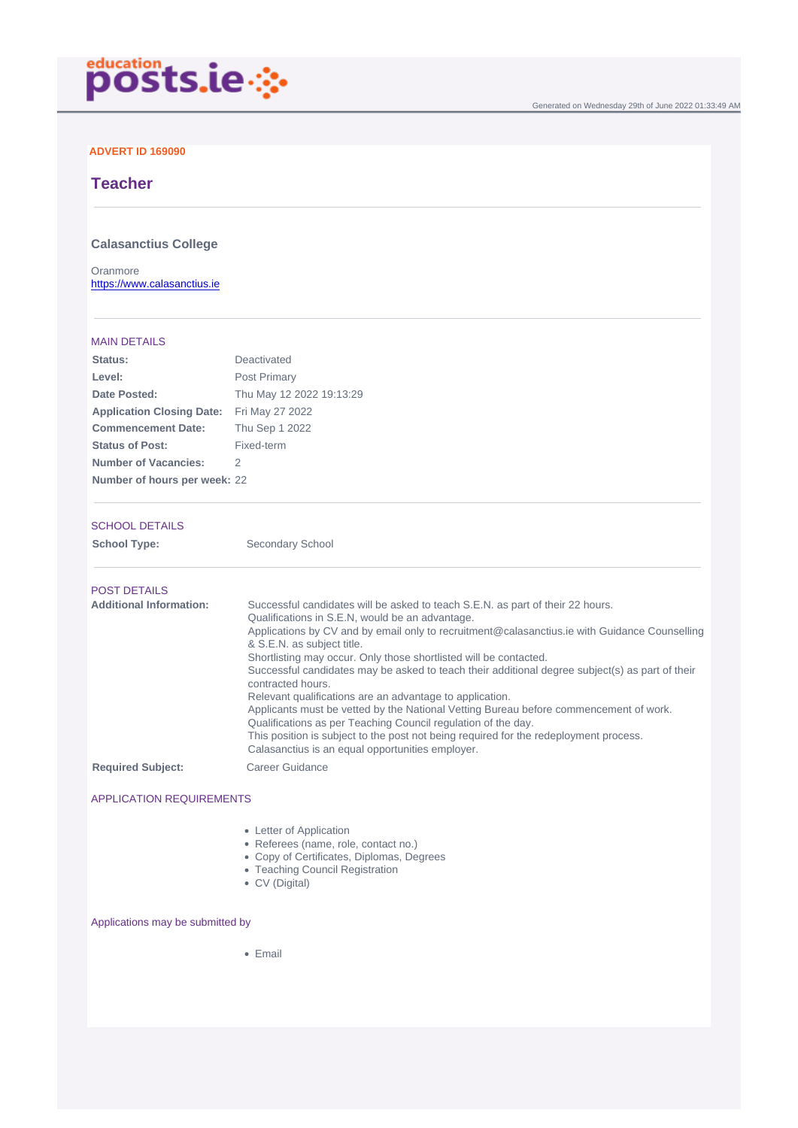### ADVERT ID 169090

# **Teacher**

### Calasanctius College

Oranmore <https://www.calasanctius.ie>

#### MAIN DETAILS

| Status:                          | Deactivated              |
|----------------------------------|--------------------------|
| Level:                           | <b>Post Primary</b>      |
| Date Posted:                     | Thu May 12 2022 19:13:29 |
| <b>Application Closing Date:</b> | Fri May 27 2022          |
| <b>Commencement Date:</b>        | Thu Sep 1 2022           |
| Status of Post:                  | Fixed-term               |
| Number of Vacancies:             | 2                        |
| Number of hours per week:        | 22                       |

#### SCHOOL DETAILS

School Type: Secondary School

| <b>POST DETAILS</b>      |                                                                                                                                                                                                                                                                                                                                                                                                                                                                                                                                                                                                                                                                                                                                                                                                                                  |
|--------------------------|----------------------------------------------------------------------------------------------------------------------------------------------------------------------------------------------------------------------------------------------------------------------------------------------------------------------------------------------------------------------------------------------------------------------------------------------------------------------------------------------------------------------------------------------------------------------------------------------------------------------------------------------------------------------------------------------------------------------------------------------------------------------------------------------------------------------------------|
| Additional Information:  | Successful candidates will be asked to teach S.E.N. as part of their 22 hours.<br>Qualifications in S.E.N, would be an advantage.<br>Applications by CV and by email only to recruitment@calasanctius.ie with Guidance Counselling<br>& S.E.N. as subject title.<br>Shortlisting may occur. Only those shortlisted will be contacted.<br>Successful candidates may be asked to teach their additional degree subject(s) as part of their<br>contracted hours.<br>Relevant qualifications are an advantage to application.<br>Applicants must be vetted by the National Vetting Bureau before commencement of work.<br>Qualifications as per Teaching Council regulation of the day.<br>This position is subject to the post not being required for the redeployment process.<br>Calasanctius is an equal opportunities employer. |
| <b>Required Subject:</b> | Career Guidance                                                                                                                                                                                                                                                                                                                                                                                                                                                                                                                                                                                                                                                                                                                                                                                                                  |

### APPLICATION REQUIREMENTS

- Letter of Application
	- Referees (name, role, contact no.)
- Copy of Certificates, Diplomas, Degrees
- Teaching Council Registration
- CV (Digital)

### Applications may be submitted by

• Email